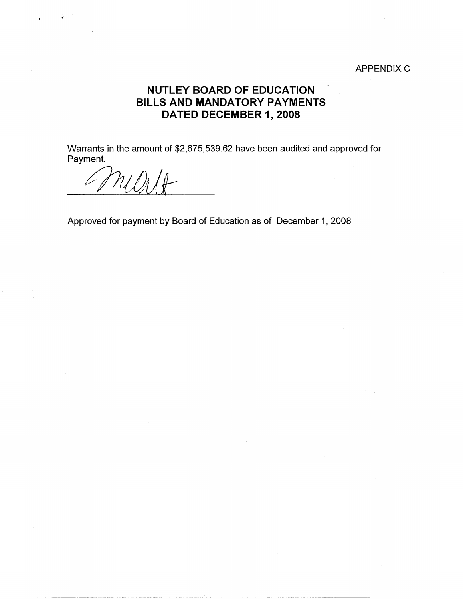## APPENDIX C

## **NUTLEY BOARD OF EDUCATION BILLS AND MANDATORY PAYMENTS DATED DECEMBER 1, 2008**

Warrants in the amount of \$2,675,539.62 have been audited and approved for Payment.

*0dUt-*

Approved for payment by Board of Education as of December 1, 2008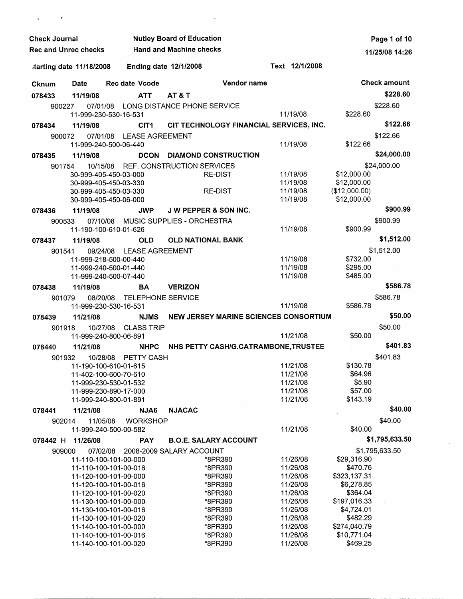| <b>Check Journal</b>        |                         |                                                | <b>Nutley Board of Education</b>        | Page 1 of 10         |                            |                     |
|-----------------------------|-------------------------|------------------------------------------------|-----------------------------------------|----------------------|----------------------------|---------------------|
| <b>Rec and Unrec checks</b> |                         |                                                | <b>Hand and Machine checks</b>          |                      |                            | 11/25/08 14:26      |
|                             | tarting date 11/18/2008 | <b>Ending date 12/1/2008</b>                   |                                         | Text 12/1/2008       |                            |                     |
| <b>Cknum</b>                | Date                    | <b>Rec date Vcode</b>                          | Vendor name                             |                      |                            | <b>Check amount</b> |
| 078433                      | 11/19/08                | <b>ATT</b>                                     | AT&T                                    |                      |                            | \$228.60            |
| 900227                      | 07/01/08                |                                                | LONG DISTANCE PHONE SERVICE             |                      |                            | \$228.60            |
|                             |                         | 11-999-230-530-16-531                          |                                         | 11/19/08             | \$228.60                   |                     |
| 078434                      | 11/19/08                | CIT <sub>1</sub>                               | CIT TECHNOLOGY FINANCIAL SERVICES, INC. |                      |                            | \$122.66            |
| 900072                      | 07/01/08                | <b>LEASE AGREEMENT</b>                         |                                         |                      |                            | \$122.66            |
|                             |                         | 11-999-240-500-06-440                          |                                         | 11/19/08             | \$122.66                   |                     |
| 078435                      | 11/19/08                | <b>DCON</b>                                    | <b>DIAMOND CONSTRUCTION</b>             |                      |                            | \$24,000.00         |
| 901754                      | 10/15/08                |                                                | REF. CONSTRUCTION SERVICES              |                      |                            | \$24,000.00         |
|                             |                         | 30-999-405-450-03-000<br>30-999-405-450-03-330 | <b>RE-DIST</b>                          | 11/19/08<br>11/19/08 | \$12,000.00<br>\$12,000.00 |                     |
|                             |                         | 30-999-405-450-03-330                          | <b>RE-DIST</b>                          | 11/19/08             | (\$12,000.00)              |                     |
|                             |                         | 30-999-405-450-06-000                          |                                         | 11/19/08             | \$12,000.00                |                     |
| 078436                      | 11/19/08                | <b>JWP</b>                                     | <b>JW PEPPER &amp; SON INC.</b>         |                      |                            | \$900.99            |
| 900533                      | 07/10/08                |                                                | MUSIC SUPPLIES - ORCHESTRA              |                      |                            | \$900.99            |
|                             |                         | 11-190-100-610-01-626                          |                                         | 11/19/08             | \$900.99                   |                     |
| 078437                      | 11/19/08                | <b>OLD</b>                                     | <b>OLD NATIONAL BANK</b>                |                      |                            | \$1,512.00          |
| 901541                      | 09/24/08                | <b>LEASE AGREEMENT</b>                         |                                         |                      |                            | \$1,512.00          |
|                             |                         | 11-999-218-500-00-440                          |                                         | 11/19/08             | \$732.00                   |                     |
|                             |                         | 11-999-240-500-01-440<br>11-999-240-500-07-440 |                                         | 11/19/08<br>11/19/08 | \$295.00<br>\$485.00       |                     |
| 078438                      | 11/19/08                | BA                                             | <b>VERIZON</b>                          |                      |                            | \$586.78            |
| 901079                      | 08/20/08                | <b>TELEPHONE SERVICE</b>                       |                                         |                      |                            | \$586.78            |
|                             |                         | 11-999-230-530-16-531                          |                                         | 11/19/08             | \$586.78                   |                     |
| 078439                      | 11/21/08                | <b>NJMS</b>                                    | NEW JERSEY MARINE SCIENCES CONSORTIUM   |                      |                            | \$50.00             |
| 901918                      | 10/27/08                | <b>CLASS TRIP</b>                              |                                         |                      |                            | \$50.00             |
|                             |                         | 11-999-240-800-06-891                          |                                         | 11/21/08             | \$50.00                    |                     |
| 078440                      | 11/21/08                | <b>NHPC</b>                                    | NHS PETTY CASH/G.CATRAMBONE, TRUSTEE    |                      |                            | \$401.83            |
| 901932                      | 10/28/08                | PETTY CASH                                     |                                         |                      |                            | \$401.83            |
|                             |                         | 11-190-100-610-01-615                          |                                         | 11/21/08             | \$130.78                   |                     |
|                             |                         | 11-402-100-600-70-610<br>11-999-230-530-01-532 |                                         | 11/21/08<br>11/21/08 | \$64.96<br>\$5.90          |                     |
|                             |                         | 11-999-230-890-17-000                          |                                         | 11/21/08             | \$57.00                    |                     |
|                             |                         | 11-999-240-800-01-891                          |                                         | 11/21/08             | \$143.19                   |                     |
| 078441                      | 11/21/08                | NJA6                                           | <b>NJACAC</b>                           |                      |                            | \$40.00             |
| 902014                      | 11/05/08                | <b>WORKSHOP</b>                                |                                         |                      |                            | \$40.00             |
|                             |                         | 11-999-240-500-00-582                          |                                         | 11/21/08             | \$40.00                    |                     |
| 078442 H                    | 11/26/08                | <b>PAY</b>                                     | <b>B.O.E. SALARY ACCOUNT</b>            |                      |                            | \$1,795,633.50      |
| 909000                      | 07/02/08                |                                                | 2008-2009 SALARY ACCOUNT                |                      |                            | \$1,795,633.50      |
|                             |                         | 11-110-100-101-00-000                          | *8PR390<br>*8PR390                      | 11/26/08<br>11/26/08 | \$29,316.90<br>\$470.76    |                     |
|                             |                         | 11-110-100-101-00-016<br>11-120-100-101-00-000 | *8PR390                                 | 11/26/08             | \$323,137.31               |                     |
|                             |                         | 11-120-100-101-00-016                          | *8PR390                                 | 11/26/08             | \$6,278.85                 |                     |
|                             |                         | 11-120-100-101-00-020                          | *8PR390                                 | 11/26/08             | \$364.04                   |                     |
|                             |                         | 11-130-100-101-00-000                          | *8PR390                                 | 11/26/08             | \$197,016.33               |                     |
|                             |                         | 11-130-100-101-00-016<br>11-130-100-101-00-020 | *8PR390<br>*8PR390                      | 11/26/08<br>11/26/08 | \$4,724.01<br>\$482.29     |                     |
|                             |                         | 11-140-100-101-00-000                          | *8PR390                                 | 11/26/08             | \$274,040.79               |                     |
|                             |                         | 11-140-100-101-00-016                          | *8PR390                                 | 11/26/08             | \$10,771.04                |                     |
|                             |                         | 11-140-100-101-00-020                          | *8PR390                                 | 11/26/08             | \$469.25                   |                     |

 $\bar{q}$ 

 $\pm$ 

 $\epsilon$  .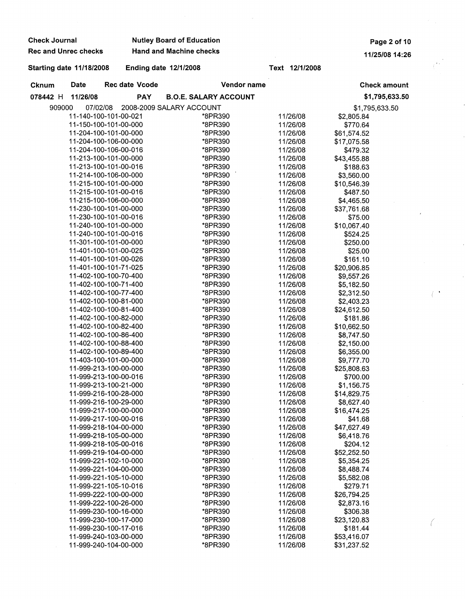| <b>Check Journal</b>            |                                                |                       | <b>Nutley Board of Education</b> |                              |                      |                           | Page 2 of 10        |  |
|---------------------------------|------------------------------------------------|-----------------------|----------------------------------|------------------------------|----------------------|---------------------------|---------------------|--|
| <b>Rec and Unrec checks</b>     |                                                |                       | <b>Hand and Machine checks</b>   |                              |                      |                           | 11/25/08 14:26      |  |
| <b>Starting date 11/18/2008</b> |                                                |                       | Ending date 12/1/2008            |                              | Text 12/1/2008       |                           |                     |  |
| <b>Cknum</b>                    | Date                                           | <b>Rec date Vcode</b> |                                  | Vendor name                  |                      |                           | <b>Check amount</b> |  |
| 078442 H                        | 11/26/08                                       | <b>PAY</b>            |                                  | <b>B.O.E. SALARY ACCOUNT</b> |                      |                           | \$1,795,633.50      |  |
| 909000                          | 07/02/08                                       |                       | 2008-2009 SALARY ACCOUNT         |                              |                      |                           | \$1,795,633.50      |  |
|                                 | 11-140-100-101-00-021                          |                       |                                  | *8PR390                      | 11/26/08             | \$2,805.84                |                     |  |
|                                 | 11-150-100-101-00-000                          |                       |                                  | *8PR390                      | 11/26/08             | \$770.64                  |                     |  |
|                                 | 11-204-100-101-00-000                          |                       |                                  | *8PR390                      | 11/26/08             | \$61,574.52               |                     |  |
|                                 | 11-204-100-106-00-000                          |                       |                                  | *8PR390                      | 11/26/08             | \$17,075.58               |                     |  |
|                                 | 11-204-100-106-00-016                          |                       |                                  | *8PR390                      | 11/26/08             | \$479.32                  |                     |  |
|                                 | 11-213-100-101-00-000                          |                       |                                  | *8PR390                      | 11/26/08             | \$43,455.88               |                     |  |
|                                 | 11-213-100-101-00-016                          |                       |                                  | *8PR390                      | 11/26/08             | \$188.63                  |                     |  |
|                                 | 11-214-100-106-00-000                          |                       |                                  | *8PR390                      | 11/26/08             | \$3,560.00                |                     |  |
|                                 | 11-215-100-101-00-000                          |                       |                                  | *8PR390                      | 11/26/08             | \$10,546.39               |                     |  |
|                                 | 11-215-100-101-00-016<br>11-215-100-106-00-000 |                       |                                  | *8PR390<br>*8PR390           | 11/26/08<br>11/26/08 | \$487.50                  |                     |  |
|                                 | 11-230-100-101-00-000                          |                       |                                  | *8PR390                      | 11/26/08             | \$4,465.50<br>\$37,761.68 |                     |  |
|                                 | 11-230-100-101-00-016                          |                       |                                  | *8PR390                      | 11/26/08             | \$75.00                   |                     |  |
|                                 | 11-240-100-101-00-000                          |                       |                                  | *8PR390                      | 11/26/08             | \$10,067.40               |                     |  |
|                                 | 11-240-100-101-00-016                          |                       |                                  | *8PR390                      | 11/26/08             | \$524.25                  |                     |  |
|                                 | 11-301-100-101-00-000                          |                       |                                  | *8PR390                      | 11/26/08             | \$250.00                  |                     |  |
|                                 | 11-401-100-101-00-025                          |                       |                                  | *8PR390                      | 11/26/08             | \$25.00                   |                     |  |
|                                 | 11-401-100-101-00-026                          |                       |                                  | *8PR390                      | 11/26/08             | \$161.10                  |                     |  |
|                                 | 11-401-100-101-71-025                          |                       |                                  | *8PR390                      | 11/26/08             | \$20,906.85               |                     |  |
|                                 | 11-402-100-100-70-400                          |                       |                                  | *8PR390                      | 11/26/08             | \$9,557.26                |                     |  |
|                                 | 11-402-100-100-71-400                          |                       |                                  | *8PR390                      | 11/26/08             | \$5,182.50                |                     |  |
|                                 | 11-402-100-100-77-400                          |                       |                                  | *8PR390                      | 11/26/08             | \$2,312.50                |                     |  |
|                                 | 11-402-100-100-81-000                          |                       |                                  | *8PR390                      | 11/26/08             | \$2,403.23                |                     |  |
|                                 | 11-402-100-100-81-400                          |                       |                                  | *8PR390                      | 11/26/08             | \$24,612.50               |                     |  |
|                                 | 11-402-100-100-82-000                          |                       |                                  | *8PR390                      | 11/26/08             | \$181.86                  |                     |  |
|                                 | 11-402-100-100-82-400<br>11-402-100-100-86-400 |                       |                                  | *8PR390<br>*8PR390           | 11/26/08<br>11/26/08 | \$10,662.50<br>\$8,747.50 |                     |  |
|                                 | 11-402-100-100-88-400                          |                       |                                  | *8PR390                      | 11/26/08             | \$2,150.00                |                     |  |
|                                 | 11-402-100-100-89-400                          |                       |                                  | *8PR390                      | 11/26/08             | \$6,355.00                |                     |  |
|                                 | 11-403-100-101-00-000                          |                       |                                  | *8PR390                      | 11/26/08             | \$9,777.70                |                     |  |
|                                 | 11-999-213-100-00-000                          |                       |                                  | *8PR390                      | 11/26/08             | \$25,808.63               |                     |  |
|                                 | 11-999-213-100-00-016                          |                       |                                  | *8PR390                      | 11/26/08             | \$700.00                  |                     |  |
|                                 | 11-999-213-100-21-000                          |                       |                                  | *8PR390                      | 11/26/08             | \$1,156.75                |                     |  |
|                                 | 11-999-216-100-28-000                          |                       |                                  | *8PR390                      | 11/26/08             | \$14,829.75               |                     |  |
|                                 | 11-999-216-100-29-000                          |                       |                                  | *8PR390                      | 11/26/08             | \$8,627.40                |                     |  |
|                                 | 11-999-217-100-00-000                          |                       |                                  | *8PR390                      | 11/26/08             | \$16,474.25               |                     |  |
|                                 | 11-999-217-100-00-016                          |                       |                                  | *8PR390                      | 11/26/08             | \$41.68                   |                     |  |
|                                 | 11-999-218-104-00-000                          |                       |                                  | *8PR390                      | 11/26/08             | \$47,627.49               |                     |  |
|                                 | 11-999-218-105-00-000                          |                       |                                  | *8PR390                      | 11/26/08             | \$6,418.76                |                     |  |
|                                 | 11-999-218-105-00-016<br>11-999-219-104-00-000 |                       |                                  | *8PR390<br>*8PR390           | 11/26/08<br>11/26/08 | \$204.12<br>\$52,252.50   |                     |  |
|                                 | 11-999-221-102-10-000                          |                       |                                  | *8PR390                      | 11/26/08             | \$5,354.25                |                     |  |
|                                 | 11-999-221-104-00-000                          |                       |                                  | *8PR390                      | 11/26/08             | \$8,488.74                |                     |  |
|                                 | 11-999-221-105-10-000                          |                       |                                  | *8PR390                      | 11/26/08             | \$5,582.08                |                     |  |
|                                 | 11-999-221-105-10-016                          |                       |                                  | *8PR390                      | 11/26/08             | \$279.71                  |                     |  |
|                                 | 11-999-222-100-00-000                          |                       |                                  | *8PR390                      | 11/26/08             | \$26,794.25               |                     |  |
|                                 | 11-999-222-100-26-000                          |                       |                                  | *8PR390                      | 11/26/08             | \$2,873.16                |                     |  |
|                                 | 11-999-230-100-16-000                          |                       |                                  | *8PR390                      | 11/26/08             | \$306.38                  |                     |  |
|                                 | 11-999-230-100-17-000                          |                       |                                  | *8PR390                      | 11/26/08             | \$23,120.83               |                     |  |
|                                 | 11-999-230-100-17-016                          |                       |                                  | *8PR390                      | 11/26/08             | \$181.44                  |                     |  |
|                                 | 11-999-240-103-00-000                          |                       |                                  | *8PR390                      | 11/26/08             | \$53,416.07               |                     |  |
|                                 | 11-999-240-104-00-000                          |                       |                                  | *8PR390                      | 11/26/08             | \$31,237.52               |                     |  |

 $\begin{pmatrix} 1 & 1 \\ 1 & 1 \end{pmatrix}$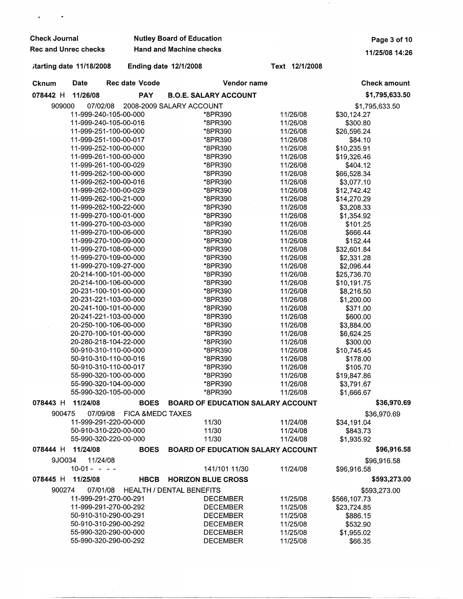| <b>Check Journal</b>        |                                   |          |                             | <b>Nutley Board of Education</b>         |             | Page 3 of 10   |              |                            |
|-----------------------------|-----------------------------------|----------|-----------------------------|------------------------------------------|-------------|----------------|--------------|----------------------------|
| <b>Rec and Unrec checks</b> |                                   |          |                             | <b>Hand and Machine checks</b>           |             |                |              | 11/25/08 14:26             |
| itarting date 11/18/2008    |                                   |          |                             | Ending date 12/1/2008                    |             | Text 12/1/2008 |              |                            |
| <b>Cknum</b>                | <b>Date</b>                       |          | <b>Rec date Vcode</b>       |                                          | Vendor name |                |              | <b>Check amount</b>        |
| 078442 H                    | 11/26/08                          |          | <b>PAY</b>                  | <b>B.O.E. SALARY ACCOUNT</b>             |             |                |              | \$1,795,633.50             |
| 909000                      | 07/02/08                          |          |                             | 2008-2009 SALARY ACCOUNT                 |             |                |              | \$1,795,633.50             |
|                             | 11-999-240-105-00-000             |          |                             | *8PR390                                  |             | 11/26/08       | \$30,124.27  |                            |
|                             | 11-999-240-105-00-016             |          |                             | *8PR390                                  |             | 11/26/08       | \$300.80     |                            |
|                             | 11-999-251-100-00-000             |          |                             | *8PR390                                  |             | 11/26/08       | \$26,596.24  |                            |
|                             | 11-999-251-100-00-017             |          |                             | *8PR390                                  |             | 11/26/08       | \$84.10      |                            |
|                             | 11-999-252-100-00-000             |          |                             | *8PR390                                  |             | 11/26/08       | \$10,235.91  |                            |
|                             | 11-999-261-100-00-000             |          |                             | *8PR390                                  |             | 11/26/08       | \$19,326.46  |                            |
|                             | 11-999-261-100-00-029             |          |                             | *8PR390                                  |             | 11/26/08       | \$404.12     |                            |
|                             | 11-999-262-100-00-000             |          |                             | *8PR390                                  |             | 11/26/08       | \$66,528.34  |                            |
|                             | 11-999-262-100-00-016             |          |                             | *8PR390                                  |             | 11/26/08       | \$3,077.10   |                            |
|                             | 11-999-262-100-00-029             |          |                             | *8PR390                                  |             | 11/26/08       | \$12,742.42  |                            |
|                             | 11-999-262-100-21-000             |          |                             | *8PR390                                  |             | 11/26/08       | \$14,270.29  |                            |
|                             | 11-999-262-100-22-000             |          |                             | *8PR390                                  |             | 11/26/08       | \$3,208.33   |                            |
|                             | 11-999-270-100-01-000             |          |                             | *8PR390                                  |             | 11/26/08       | \$1,354.92   |                            |
|                             | 11-999-270-100-03-000             |          |                             | *8PR390                                  |             | 11/26/08       | \$101.25     |                            |
|                             | 11-999-270-100-06-000             |          |                             | *8PR390                                  |             | 11/26/08       | \$666.44     |                            |
|                             | 11-999-270-100-09-000             |          |                             | *8PR390                                  |             | 11/26/08       | \$152.44     |                            |
|                             | 11-999-270-108-00-000             |          |                             | *8PR390                                  |             | 11/26/08       | \$32,601.84  |                            |
|                             | 11-999-270-109-00-000             |          |                             | *8PR390                                  |             | 11/26/08       | \$2,331.28   |                            |
|                             | 11-999-270-109-27-000             |          |                             | *8PR390                                  |             | 11/26/08       | \$2,096.44   |                            |
|                             | 20-214-100-101-00-000             |          |                             | *8PR390                                  |             | 11/26/08       | \$25,736.70  |                            |
|                             | 20-214-100-106-00-000             |          |                             | *8PR390                                  |             | 11/26/08       | \$10,191.75  |                            |
|                             | 20-231-100-101-00-000             |          |                             | *8PR390                                  |             | 11/26/08       | \$8,216.50   |                            |
|                             | 20-231-221-103-00-000             |          |                             | *8PR390                                  |             | 11/26/08       | \$1,200.00   |                            |
|                             | 20-241-100-101-00-000             |          |                             | *8PR390                                  |             | 11/26/08       | \$371.00     |                            |
|                             | 20-241-221-103-00-000             |          |                             | *8PR390                                  |             | 11/26/08       | \$600.00     |                            |
|                             | 20-250-100-106-00-000             |          |                             | *8PR390                                  |             | 11/26/08       | \$3,884.00   |                            |
|                             | 20-270-100-101-00-000             |          |                             | *8PR390                                  |             | 11/26/08       | \$6,624.25   |                            |
|                             | 20-280-218-104-22-000             |          |                             | *8PR390                                  |             | 11/26/08       | \$300.00     |                            |
|                             | 50-910-310-110-00-000             |          |                             | *8PR390                                  |             | 11/26/08       | \$10,745.45  |                            |
|                             | 50-910-310-110-00-016             |          |                             | *8PR390                                  |             | 11/26/08       | \$178.00     |                            |
|                             | 50-910-310-110-00-017             |          |                             | *8PR390                                  |             | 11/26/08       | \$105.70     |                            |
|                             | 55-990-320-100-00-000             |          |                             | *8PR390                                  |             | 11/26/08       | \$19,847.86  |                            |
|                             | 55-990-320-104-00-000             |          |                             | *8PR390                                  |             | 11/26/08       | \$3,791.67   |                            |
|                             | 55-990-320-105-00-000             |          |                             | *8PR390                                  |             | 11/26/08       | \$1,666.67   |                            |
| 078443 H                    | 11/24/08                          |          | <b>BOES</b>                 | <b>BOARD OF EDUCATION SALARY ACCOUNT</b> |             |                |              | \$36,970.69                |
| 900475                      |                                   | 07/09/08 | <b>FICA &amp;MEDC TAXES</b> |                                          |             |                |              | \$36,970.69                |
|                             | 11-999-291-220-00-000             |          |                             | 11/30                                    |             | 11/24/08       | \$34,191.04  |                            |
|                             | 50-910-310-220-00-000             |          |                             | 11/30                                    |             | 11/24/08       | \$843.73     |                            |
| 078444 H                    | 55-990-320-220-00-000<br>11/24/08 |          |                             | 11/30                                    |             | 11/24/08       | \$1,935.92   |                            |
| 9JO034                      |                                   | 11/24/08 | <b>BOES</b>                 | <b>BOARD OF EDUCATION SALARY ACCOUNT</b> |             |                |              | \$96,916.58<br>\$96,916.58 |
|                             | $10-01 - - -$                     |          |                             | 141/101 11/30                            |             | 11/24/08       | \$96,916.58  |                            |
| $078445$ H                  | 11/25/08                          |          | <b>HBCB</b>                 | <b>HORIZON BLUE CROSS</b>                |             |                |              | \$593,273.00               |
| 900274                      | 07/01/08                          |          |                             | <b>HEALTH / DENTAL BENEFITS</b>          |             |                |              | \$593,273.00               |
|                             | 11-999-291-270-00-291             |          |                             | <b>DECEMBER</b>                          |             | 11/25/08       | \$566,107.73 |                            |
|                             | 11-999-291-270-00-292             |          |                             | <b>DECEMBER</b>                          |             | 11/25/08       | \$23,724.85  |                            |
|                             | 50-910-310-290-00-291             |          |                             | <b>DECEMBER</b>                          |             | 11/25/08       | \$886.15     |                            |
|                             | 50-910-310-290-00-292             |          |                             | <b>DECEMBER</b>                          |             | 11/25/08       | \$532.90     |                            |
|                             | 55-990-320-290-00-000             |          |                             | <b>DECEMBER</b>                          |             | 11/25/08       | \$1,955.02   |                            |
|                             | 55-990-320-290-00-292             |          |                             | <b>DECEMBER</b>                          |             | 11/25/08       | \$66.35      |                            |

 $\bar{1}$ 

-~~~~-~--~~-~~-----------------~------------------·-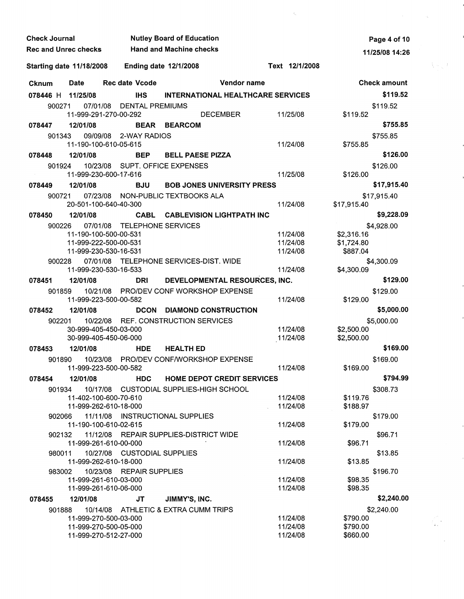| <b>Check Journal</b> |        |                                                |          |                              | <b>Nutley Board of Education</b>        |                 |                                          |                      | Page 4 of 10        |     |
|----------------------|--------|------------------------------------------------|----------|------------------------------|-----------------------------------------|-----------------|------------------------------------------|----------------------|---------------------|-----|
|                      |        | <b>Rec and Unrec checks</b>                    |          |                              | <b>Hand and Machine checks</b>          |                 |                                          |                      | 11/25/08 14:26      |     |
|                      |        | <b>Starting date 11/18/2008</b>                |          | <b>Ending date 12/1/2008</b> |                                         |                 | Text 12/1/2008                           |                      |                     | いっけ |
| <b>Cknum</b>         |        | Date                                           |          | <b>Rec date Vcode</b>        |                                         | Vendor name     |                                          |                      | <b>Check amount</b> |     |
|                      |        | 078446 H 11/25/08                              |          | IHS.                         |                                         |                 | <b>INTERNATIONAL HEALTHCARE SERVICES</b> |                      | \$119.52            |     |
|                      | 900271 |                                                |          | 07/01/08 DENTAL PREMIUMS     |                                         |                 |                                          |                      | \$119.52            |     |
|                      |        | 11-999-291-270-00-292                          |          |                              |                                         | <b>DECEMBER</b> | 11/25/08                                 | \$119.52             |                     |     |
| 078447               |        | 12/01/08                                       |          |                              | <b>BEAR BEARCOM</b>                     |                 |                                          |                      | \$755.85            |     |
|                      | 901343 |                                                |          | 09/09/08 2-WAY RADIOS        |                                         |                 |                                          |                      | \$755.85            |     |
|                      |        | 11-190-100-610-05-615                          |          |                              |                                         |                 | 11/24/08                                 | \$755.85             |                     |     |
| 078448               |        | 12/01/08                                       |          | <b>BEP</b>                   | <b>BELL PAESE PIZZA</b>                 |                 |                                          |                      | \$126.00            |     |
|                      | 901924 | 11-999-230-600-17-616                          |          |                              | 10/23/08 SUPT, OFFICE EXPENSES          |                 | 11/25/08                                 | \$126.00             | \$126.00            |     |
|                      |        | 12/01/08                                       |          | <b>BJU</b>                   | <b>BOB JONES UNIVERSITY PRESS</b>       |                 |                                          |                      | \$17,915.40         |     |
| 078449               |        |                                                |          |                              |                                         |                 |                                          |                      |                     |     |
|                      | 900721 | 20-501-100-640-40-300                          |          |                              | 07/23/08 NON-PUBLIC TEXTBOOKS ALA       |                 | 11/24/08                                 | \$17,915.40          | \$17,915.40         |     |
| 078450               |        | 12/01/08                                       |          |                              | <b>CABL CABLEVISION LIGHTPATH INC</b>   |                 |                                          |                      | \$9,228.09          |     |
|                      | 900226 |                                                | 07/01/08 | <b>TELEPHONE SERVICES</b>    |                                         |                 |                                          |                      | \$4,928.00          |     |
|                      |        | 11-190-100-500-00-531                          |          |                              |                                         |                 | 11/24/08                                 | \$2,316.16           |                     |     |
|                      |        | 11-999-222-500-00-531                          |          |                              |                                         |                 | 11/24/08                                 | \$1,724.80           |                     |     |
|                      |        | 11-999-230-530-16-531                          |          |                              |                                         |                 | 11/24/08                                 | \$887.04             |                     |     |
|                      | 900228 |                                                |          |                              | 07/01/08 TELEPHONE SERVICES-DIST. WIDE  |                 |                                          |                      | \$4,300.09          |     |
|                      |        | 11-999-230-530-16-533                          |          |                              |                                         |                 | 11/24/08                                 | \$4,300.09           | \$129.00            |     |
| 078451               |        | 12/01/08                                       |          | <b>DRI</b>                   | DEVELOPMENTAL RESOURCES, INC.           |                 |                                          |                      |                     |     |
|                      | 901859 | 11-999-223-500-00-582                          |          |                              | 10/21/08 PRO/DEV CONF WORKSHOP EXPENSE  |                 | 11/24/08                                 | \$129.00             | \$129.00            |     |
| 078452               |        | 12/01/08                                       |          |                              | <b>DCON DIAMOND CONSTRUCTION</b>        |                 |                                          |                      | \$5,000.00          |     |
|                      | 902201 |                                                |          |                              | 10/22/08 REF. CONSTRUCTION SERVICES     |                 |                                          |                      | \$5,000.00          |     |
|                      |        | 30-999-405-450-03-000                          |          |                              |                                         |                 | 11/24/08                                 | \$2,500.00           |                     |     |
|                      |        | 30-999-405-450-06-000                          |          |                              |                                         |                 | 11/24/08                                 | \$2,500.00           | \$169.00            |     |
| 078453               |        | 12/01/08                                       |          | <b>HDE</b>                   | <b>HEALTH ED</b>                        |                 |                                          |                      |                     |     |
|                      | 901890 | 11-999-223-500-00-582                          |          |                              | 10/23/08 PRO/DEV CONF/WORKSHOP EXPENSE  |                 | 11/24/08                                 | \$169.00             | \$169.00            |     |
| 078454               |        | 12/01/08                                       |          | <b>HDC</b>                   | <b>HOME DEPOT CREDIT SERVICES</b>       |                 |                                          |                      | \$794.99            |     |
|                      | 901934 |                                                |          |                              | 10/17/08 CUSTODIAL SUPPLIES-HIGH SCHOOL |                 |                                          |                      | \$308.73            |     |
|                      |        | 11-402-100-600-70-610                          |          |                              |                                         |                 | 11/24/08                                 | \$119.76             |                     |     |
|                      |        | 11-999-262-610-18-000                          |          |                              |                                         |                 | 11/24/08                                 | \$188.97             |                     |     |
|                      | 902066 |                                                |          |                              | 11/11/08 INSTRUCTIONAL SUPPLIES         |                 |                                          |                      | \$179.00            |     |
|                      |        | 11-190-100-610-02-615                          |          |                              |                                         |                 | 11/24/08                                 | \$179.00             |                     |     |
|                      | 902132 | 11-999-261-610-00-000                          |          |                              | 11/12/08 REPAIR SUPPLIES-DISTRICT WIDE  |                 | 11/24/08                                 | \$96.71              | \$96.71             |     |
|                      | 980011 |                                                |          | 10/27/08 CUSTODIAL SUPPLIES  |                                         |                 |                                          |                      | \$13.85             |     |
|                      |        | 11-999-262-610-18-000                          |          |                              |                                         |                 | 11/24/08                                 | \$13.85              |                     |     |
|                      | 983002 |                                                |          | 10/23/08 REPAIR SUPPLIES     |                                         |                 |                                          |                      | \$196.70            |     |
|                      |        | 11-999-261-610-03-000                          |          |                              |                                         |                 | 11/24/08                                 | \$98.35              |                     |     |
|                      |        | 11-999-261-610-06-000                          |          |                              |                                         |                 | 11/24/08                                 | \$98.35              |                     |     |
| 078455               |        | 12/01/08                                       |          | JT                           | JIMMY'S, INC.                           |                 |                                          |                      | \$2,240.00          |     |
|                      | 901888 |                                                |          |                              | 10/14/08 ATHLETIC & EXTRA CUMM TRIPS    |                 |                                          |                      | \$2,240.00          |     |
|                      |        | 11-999-270-500-03-000<br>11-999-270-500-05-000 |          |                              |                                         |                 | 11/24/08<br>11/24/08                     | \$790.00<br>\$790.00 |                     |     |
|                      |        | 11-999-270-512-27-000                          |          |                              |                                         |                 | 11/24/08                                 | \$660.00             |                     |     |
|                      |        |                                                |          |                              |                                         |                 |                                          |                      |                     |     |

 $\mathcal{L}^{\mathcal{L}}$ 

 $\label{eq:2.1} \frac{1}{\sqrt{2\pi}}\frac{1}{\sqrt{2\pi}}\int_{0}^{\infty}\frac{1}{\sqrt{2\pi}}\frac{1}{\sqrt{2\pi}}\frac{1}{\sqrt{2\pi}}\frac{1}{\sqrt{2\pi}}\frac{1}{\sqrt{2\pi}}\frac{1}{\sqrt{2\pi}}\frac{1}{\sqrt{2\pi}}\frac{1}{\sqrt{2\pi}}\frac{1}{\sqrt{2\pi}}\frac{1}{\sqrt{2\pi}}\frac{1}{\sqrt{2\pi}}\frac{1}{\sqrt{2\pi}}\frac{1}{\sqrt{2\pi}}\frac{1}{\sqrt{2\pi}}\frac{1}{\sqrt{2\$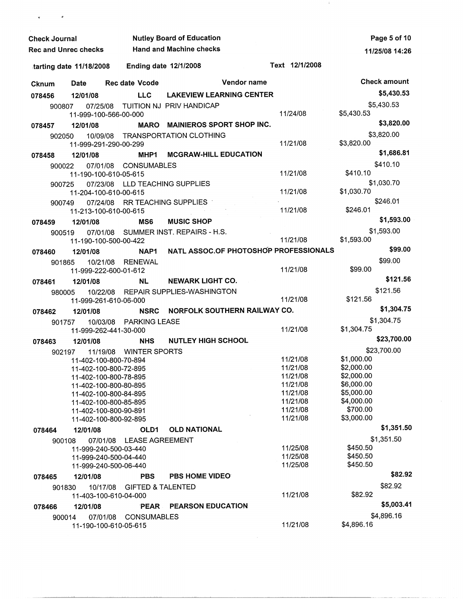| <b>Check Journal</b>        |                                                |          |                              | <b>Nutley Board of Education</b>      |             |                      |                        | Page 5 of 10        |
|-----------------------------|------------------------------------------------|----------|------------------------------|---------------------------------------|-------------|----------------------|------------------------|---------------------|
| <b>Rec and Unrec checks</b> |                                                |          |                              | <b>Hand and Machine checks</b>        |             |                      |                        | 11/25/08 14:26      |
|                             | tarting date 11/18/2008                        |          | <b>Ending date 12/1/2008</b> |                                       |             | Text 12/1/2008       |                        |                     |
| <b>Cknum</b>                | <b>Date</b>                                    |          | <b>Rec date Vcode</b>        |                                       | Vendor name |                      |                        | <b>Check amount</b> |
| 078456                      | 12/01/08                                       |          | <b>LLC</b>                   | <b>LAKEVIEW LEARNING CENTER</b>       |             |                      |                        | \$5,430.53          |
| 900807                      | 07/25/08                                       |          |                              | TUITION NJ PRIV HANDICAP              |             |                      |                        | \$5,430.53          |
|                             | 11-999-100-566-00-000                          |          |                              |                                       |             | 11/24/08             | \$5,430.53             |                     |
| 078457                      | 12/01/08                                       |          |                              | MARO MAINIEROS SPORT SHOP INC.        |             |                      |                        | \$3,820.00          |
| 902050                      | 11-999-291-290-00-299                          | 10/09/08 |                              | <b>TRANSPORTATION CLOTHING</b>        |             | 11/21/08             | \$3,820.00             | \$3,820.00          |
| 078458                      | 12/01/08                                       |          | MHP1                         | <b>MCGRAW-HILL EDUCATION</b>          |             |                      |                        | \$1,686.81          |
| 900022                      | 11-190-100-610-05-615                          | 07/01/08 | CONSUMABLES                  |                                       |             | 11/21/08             | \$410.10               | \$410.10            |
| 900725                      |                                                | 07/23/08 |                              | LLD TEACHING SUPPLIES                 |             |                      |                        | \$1,030.70          |
|                             | 11-204-100-610-00-615                          |          |                              |                                       |             | 11/21/08             | \$1,030.70             | \$246.01            |
| 900749                      | 11-213-100-610-00-615                          | 07/24/08 |                              | RR TEACHING SUPPLIES                  |             | 11/21/08             | \$246.01               |                     |
| 078459                      | 12/01/08                                       |          | MS6                          | <b>MUSIC SHOP</b>                     |             |                      |                        | \$1,593.00          |
| 900519                      |                                                |          |                              | 07/01/08 SUMMER INST. REPAIRS - H.S.  |             |                      |                        | \$1,593.00          |
|                             | 11-190-100-500-00-422                          |          |                              |                                       |             | 11/21/08             | \$1,593.00             |                     |
| 078460                      | 12/01/08                                       |          | NAP1                         | NATL ASSOC.OF PHOTOSHOP PROFESSIONALS |             |                      |                        | \$99.00             |
| 901865                      |                                                | 10/21/08 | RENEWAL                      |                                       |             |                      |                        | \$99.00             |
|                             | 11-999-222-600-01-612                          |          |                              |                                       |             | 11/21/08             | \$99.00                |                     |
| 078461                      | 12/01/08                                       |          | NL                           | <b>NEWARK LIGHT CO.</b>               |             |                      |                        | \$121.56            |
| 980005                      | 11-999-261-610-06-000                          |          |                              | 10/22/08 REPAIR SUPPLIES-WASHINGTON   |             | 11/21/08             | \$121.56               | \$121.56            |
| 078462                      | 12/01/08                                       |          | <b>NSRC</b>                  | NORFOLK SOUTHERN RAILWAY CO.          |             |                      |                        | \$1,304.75          |
| 901757                      |                                                | 10/03/08 | <b>PARKING LEASE</b>         |                                       |             |                      |                        | \$1,304.75          |
|                             | 11-999-262-441-30-000                          |          |                              |                                       |             | 11/21/08             | \$1,304.75             |                     |
| 078463                      | 12/01/08                                       |          | <b>NHS</b>                   | <b>NUTLEY HIGH SCHOOL</b>             |             |                      |                        | \$23,700.00         |
| 902197                      |                                                |          | 11/19/08 WINTER SPORTS       |                                       |             | 11/21/08             | \$1,000.00             | \$23,700.00         |
|                             | 11-402-100-800-70-894<br>11-402-100-800-72-895 |          |                              |                                       |             | 11/21/08             | \$2,000.00             |                     |
|                             | 11-402-100-800-78-895                          |          |                              |                                       |             | 11/21/08             | \$2,000.00             |                     |
|                             | 11-402-100-800-80-895                          |          |                              |                                       |             | 11/21/08             | \$6,000.00             |                     |
|                             | 11-402-100-800-84-895                          |          |                              |                                       |             | 11/21/08             | \$5,000.00             |                     |
|                             | 11-402-100-800-85-895<br>11-402-100-800-90-891 |          |                              |                                       |             | 11/21/08<br>11/21/08 | \$4,000.00<br>\$700.00 |                     |
|                             | 11-402-100-800-92-895                          |          |                              |                                       |             | 11/21/08             | \$3,000.00             |                     |
| 078464                      | 12/01/08                                       |          | OLD <sub>1</sub>             | <b>OLD NATIONAL</b>                   |             |                      |                        | \$1,351.50          |
| 900108                      |                                                | 07/01/08 | LEASE AGREEMENT              |                                       |             |                      |                        | \$1,351.50          |
|                             | 11-999-240-500-03-440                          |          |                              |                                       |             | 11/25/08             | \$450.50               |                     |
|                             | 11-999-240-500-04-440                          |          |                              |                                       |             | 11/25/08             | \$450.50               |                     |
|                             | 11-999-240-500-06-440                          |          |                              |                                       |             | 11/25/08             | \$450.50               |                     |
| 078465                      | 12/01/08                                       |          | <b>PBS</b>                   | <b>PBS HOME VIDEO</b>                 |             |                      |                        | \$82.92             |
| 901830                      |                                                | 10/17/08 | <b>GIFTED &amp; TALENTED</b> |                                       |             | 11/21/08             | \$82.92                | \$82.92             |
|                             | 11-403-100-610-04-000                          |          |                              |                                       |             |                      |                        | \$5,003.41          |
| 078466                      | 12/01/08                                       |          | PEAR                         | <b>PEARSON EDUCATION</b>              |             |                      |                        | \$4,896.16          |
| 900014                      | 11-190-100-610-05-615                          | 07/01/08 | <b>CONSUMABLES</b>           |                                       |             | 11/21/08             | \$4,896.16             |                     |

 $\mathbf{v} = \mathbf{v} - \mathbf{v}$ 

 $\sim 4$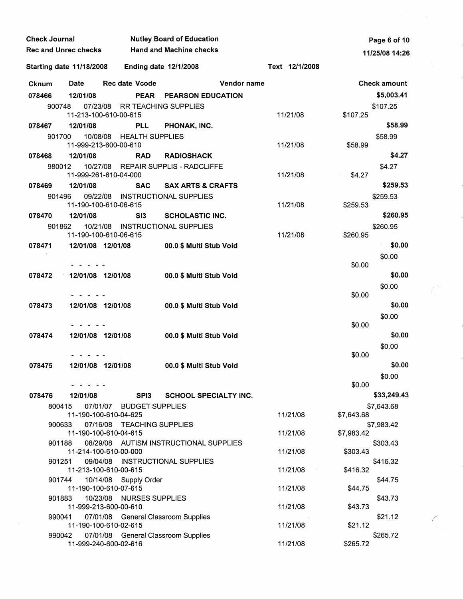| <b>Check Journal</b><br><b>Rec and Unrec checks</b> |                                 |                                                              | <b>Nutley Board of Education</b>       | Page 6 of 10 |                |            |                     |  |
|-----------------------------------------------------|---------------------------------|--------------------------------------------------------------|----------------------------------------|--------------|----------------|------------|---------------------|--|
|                                                     |                                 |                                                              | <b>Hand and Machine checks</b>         |              |                |            | 11/25/08 14:26      |  |
|                                                     | <b>Starting date 11/18/2008</b> |                                                              | <b>Ending date 12/1/2008</b>           |              | Text 12/1/2008 |            |                     |  |
| <b>Cknum</b>                                        | <b>Date</b>                     | <b>Rec date Vcode</b>                                        |                                        | Vendor name  |                |            | <b>Check amount</b> |  |
| 078466                                              | 12/01/08                        |                                                              | PEAR PEARSON EDUCATION                 |              |                |            | \$5,003.41          |  |
| 900748                                              |                                 | 07/23/08                                                     | <b>RR TEACHING SUPPLIES</b>            |              |                |            | \$107.25            |  |
|                                                     |                                 | 11-213-100-610-00-615                                        |                                        |              | 11/21/08       | \$107.25   |                     |  |
| 078467                                              | 12/01/08                        | <b>PLL</b>                                                   | PHONAK, INC.                           |              |                |            | \$58.99             |  |
| 901700                                              |                                 | 10/08/08 HEALTH SUPPLIES<br>11-999-213-600-00-610            |                                        |              | 11/21/08       | \$58.99    | \$58.99             |  |
| 078468                                              | 12/01/08                        | <b>RAD</b>                                                   | <b>RADIOSHACK</b>                      |              |                |            | \$4.27              |  |
| 980012                                              |                                 | 11-999-261-610-04-000                                        | 10/27/08 REPAIR SUPPLIS - RADCLIFFE    |              | 11/21/08       | \$4.27     | \$4.27              |  |
| 078469                                              | 12/01/08                        | <b>SAC</b>                                                   | <b>SAX ARTS &amp; CRAFTS</b>           |              |                |            | \$259.53            |  |
| 901496                                              |                                 | 09/22/08 INSTRUCTIONAL SUPPLIES                              |                                        |              |                |            | \$259.53            |  |
|                                                     |                                 | 11-190-100-610-06-615                                        |                                        |              | 11/21/08       | \$259.53   |                     |  |
| 078470                                              | 12/01/08                        | SI3                                                          | <b>SCHOLASTIC INC.</b>                 |              |                |            | \$260.95            |  |
| 901862                                              | 10/21/08                        |                                                              | <b>INSTRUCTIONAL SUPPLIES</b>          |              |                |            | \$260.95            |  |
|                                                     |                                 | 11-190-100-610-06-615                                        |                                        |              | 11/21/08       | \$260.95   |                     |  |
| 078471                                              |                                 | 12/01/08 12/01/08                                            | 00.0 \$ Multi Stub Void                |              |                |            | \$0.00              |  |
|                                                     |                                 |                                                              |                                        |              |                | \$0.00     | \$0.00              |  |
| 078472                                              |                                 | 12/01/08 12/01/08                                            | 00.0 \$ Multi Stub Void                |              |                |            | \$0.00              |  |
|                                                     |                                 |                                                              |                                        |              |                |            | \$0.00              |  |
|                                                     |                                 |                                                              |                                        |              |                | \$0.00     |                     |  |
| 078473                                              |                                 | 12/01/08 12/01/08                                            | 00.0 \$ Multi Stub Void                |              |                |            | \$0.00              |  |
|                                                     |                                 |                                                              |                                        |              |                |            | \$0.00              |  |
|                                                     |                                 |                                                              |                                        |              |                | \$0.00     |                     |  |
| 078474                                              |                                 | 12/01/08 12/01/08                                            | 00.0 \$ Multi Stub Void                |              |                |            | \$0.00              |  |
|                                                     |                                 |                                                              |                                        |              |                | \$0.00     | \$0.00              |  |
| 078475                                              |                                 | 12/01/08 12/01/08                                            | 00.0 \$ Multi Stub Void                |              |                |            | \$0.00              |  |
|                                                     |                                 |                                                              |                                        |              |                |            | \$0.00              |  |
|                                                     |                                 |                                                              |                                        |              |                | \$0.00     |                     |  |
| 078476                                              | 12/01/08                        | SPI3                                                         | <b>SCHOOL SPECIALTY INC.</b>           |              |                |            | \$33,249.43         |  |
| 800415                                              |                                 | 07/01/07 BUDGET SUPPLIES                                     |                                        |              |                |            | \$7,643.68          |  |
| 900633                                              |                                 | 11-190-100-610-04-625<br>07/16/08 TEACHING SUPPLIES          |                                        |              | 11/21/08       | \$7,643.68 | \$7,983.42          |  |
|                                                     |                                 | 11-190-100-610-04-615                                        |                                        |              | 11/21/08       | \$7,983.42 |                     |  |
| 901188                                              |                                 |                                                              | 08/29/08 AUTISM INSTRUCTIONAL SUPPLIES |              |                |            | \$303.43            |  |
|                                                     |                                 | 11-214-100-610-00-000                                        |                                        |              | 11/21/08       | \$303.43   |                     |  |
| 901251                                              |                                 | 09/04/08 INSTRUCTIONAL SUPPLIES<br>11-213-100-610-00-615     |                                        |              | 11/21/08       | \$416.32   | \$416.32            |  |
| 901744                                              |                                 | 10/14/08 Supply Order                                        |                                        |              |                |            | \$44.75             |  |
|                                                     |                                 | 11-190-100-610-07-615                                        |                                        |              | 11/21/08       | \$44.75    |                     |  |
| 901883                                              |                                 | 10/23/08 NURSES SUPPLIES                                     |                                        |              |                |            | \$43.73             |  |
|                                                     |                                 | 11-999-213-600-00-610                                        |                                        |              | 11/21/08       | \$43.73    |                     |  |
| 990041                                              |                                 | 07/01/08 General Classroom Supplies<br>11-190-100-610-02-615 |                                        |              | 11/21/08       | \$21.12    | \$21.12             |  |
| 990042                                              |                                 | 07/01/08 General Classroom Supplies                          |                                        |              |                |            | \$265.72            |  |
|                                                     |                                 | 11-999-240-600-02-616                                        |                                        |              | 11/21/08       | \$265.72   |                     |  |

 $\hat{\zeta}^{\pm}$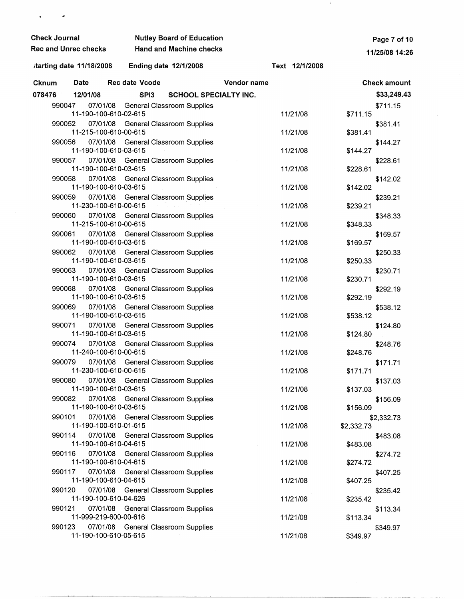| <b>Check Journal</b>        |                         | <b>Nutley Board of Education</b>                                    | Page 7 of 10                      |             |                |            |                     |  |
|-----------------------------|-------------------------|---------------------------------------------------------------------|-----------------------------------|-------------|----------------|------------|---------------------|--|
| <b>Rec and Unrec checks</b> |                         |                                                                     | <b>Hand and Machine checks</b>    |             |                |            | 11/25/08 14:26      |  |
|                             | tarting date 11/18/2008 |                                                                     | Ending date 12/1/2008             |             | Text 12/1/2008 |            |                     |  |
| Cknum                       | <b>Date</b>             | Rec date Vcode                                                      |                                   | Vendor name |                |            | <b>Check amount</b> |  |
| 078476                      | 12/01/08                | SPI3                                                                | <b>SCHOOL SPECIALTY INC.</b>      |             |                |            | \$33,249.43         |  |
| 990047                      | 07/01/08                | 11-190-100-610-02-615                                               | <b>General Classroom Supplies</b> |             | 11/21/08       | \$711.15   | \$711.15            |  |
| 990052                      |                         | 07/01/08 General Classroom Supplies<br>11-215-100-610-00-615        |                                   |             | 11/21/08       | \$381.41   | \$381.41            |  |
| 990056                      |                         | 07/01/08 General Classroom Supplies<br>11-190-100-610-03-615        |                                   |             | 11/21/08       | \$144.27   | \$144.27            |  |
| 990057                      |                         | 07/01/08 General Classroom Supplies<br>11-190-100-610-03-615        |                                   |             | 11/21/08       | \$228.61   | \$228.61            |  |
| 990058                      |                         | 07/01/08 General Classroom Supplies<br>11-190-100-610-03-615        |                                   |             | 11/21/08       | \$142.02   | \$142.02            |  |
| 990059                      |                         | 07/01/08 General Classroom Supplies<br>11-230-100-610-00-615        |                                   |             | 11/21/08       | \$239.21   | \$239.21            |  |
|                             |                         | 990060 07/01/08 General Classroom Supplies<br>11-215-100-610-00-615 |                                   |             | 11/21/08       | \$348.33   | \$348.33            |  |
| 990061                      |                         | 07/01/08 General Classroom Supplies<br>11-190-100-610-03-615        |                                   |             | 11/21/08       | \$169.57   | \$169.57            |  |
| 990062                      |                         | 07/01/08 General Classroom Supplies<br>11-190-100-610-03-615        |                                   |             | 11/21/08       | \$250.33   | \$250.33            |  |
| 990063                      |                         | 07/01/08 General Classroom Supplies<br>11-190-100-610-03-615        |                                   |             | 11/21/08       | \$230.71   | \$230.71            |  |
| 990068                      |                         | 07/01/08 General Classroom Supplies<br>11-190-100-610-03-615        |                                   |             | 11/21/08       | \$292.19   | \$292.19            |  |
| 990069                      |                         | 07/01/08 General Classroom Supplies<br>11-190-100-610-03-615        |                                   |             | 11/21/08       | \$538.12   | \$538.12            |  |
| 990071                      |                         | 07/01/08 General Classroom Supplies<br>11-190-100-610-03-615        |                                   |             | 11/21/08       | \$124.80   | \$124.80            |  |
| 990074                      |                         | 07/01/08 General Classroom Supplies<br>11-240-100-610-00-615        |                                   |             | 11/21/08       | \$248.76   | \$248.76            |  |
| 990079                      |                         | 07/01/08 General Classroom Supplies<br>11-230-100-610-00-615        |                                   |             | 11/21/08       | \$171.71   | \$171.71            |  |
| 990080                      |                         | 07/01/08 General Classroom Supplies<br>11-190-100-610-03-615        |                                   |             | 11/21/08       | \$137.03   | \$137.03            |  |
| 990082                      |                         | 07/01/08 General Classroom Supplies<br>11-190-100-610-03-615        |                                   |             | 11/21/08       | \$156.09   | \$156.09            |  |
| 990101                      |                         | 07/01/08 General Classroom Supplies<br>11-190-100-610-01-615        |                                   |             | 11/21/08       | \$2,332.73 | \$2,332.73          |  |
| 990114                      | 07/01/08                | 11-190-100-610-04-615                                               | <b>General Classroom Supplies</b> |             | 11/21/08       | \$483.08   | \$483.08            |  |
| 990116                      | 07/01/08                | 11-190-100-610-04-615                                               | <b>General Classroom Supplies</b> |             | 11/21/08       | \$274.72   | \$274.72            |  |
| 990117                      | 07/01/08                | 11-190-100-610-04-615                                               | General Classroom Supplies        |             | 11/21/08       | \$407.25   | \$407.25            |  |
| 990120                      | 07/01/08                | 11-190-100-610-04-626                                               | <b>General Classroom Supplies</b> |             | 11/21/08       | \$235.42   | \$235.42            |  |
| 990121                      | 07/01/08                | 11-999-219-600-00-616                                               | <b>General Classroom Supplies</b> |             | 11/21/08       | \$113.34   | \$113.34            |  |
| 990123                      |                         | 07/01/08 General Classroom Supplies<br>11-190-100-610-05-615        |                                   |             | 11/21/08       | \$349.97   | \$349.97            |  |

 $\sim 3\%$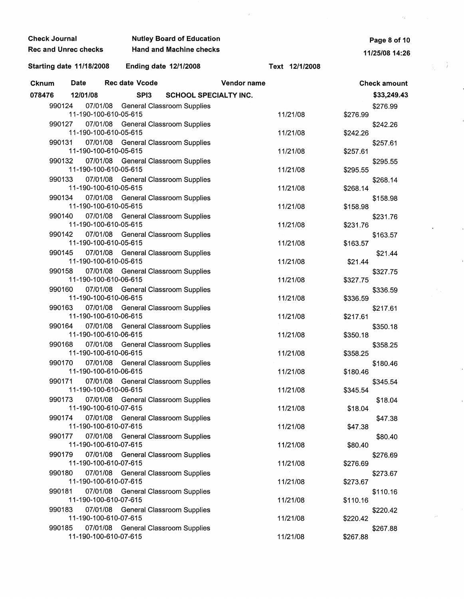| Check Journal                                                       |                                     | <b>Nutley Board of Education</b> |             | Page 8 of 10   |          |                     |  |
|---------------------------------------------------------------------|-------------------------------------|----------------------------------|-------------|----------------|----------|---------------------|--|
| Rec and Unrec checks                                                |                                     | <b>Hand and Machine checks</b>   |             |                |          | 11/25/08 14:26      |  |
| Starting date 11/18/2008                                            | <b>Ending date 12/1/2008</b>        |                                  |             | Text 12/1/2008 |          |                     |  |
| <b>Date</b><br>Cknum                                                | Rec date Vcode                      |                                  | Vendor name |                |          | <b>Check amount</b> |  |
| 078476<br>12/01/08                                                  | SPI3                                | <b>SCHOOL SPECIALTY INC.</b>     |             |                |          | \$33,249.43         |  |
| 990124<br>11-190-100-610-05-615                                     | 07/01/08 General Classroom Supplies |                                  |             | 11/21/08       | \$276.99 | \$276.99            |  |
| 990127<br>11-190-100-610-05-615                                     | 07/01/08 General Classroom Supplies |                                  |             | 11/21/08       | \$242.26 | \$242.26            |  |
| 990131<br>11-190-100-610-05-615                                     | 07/01/08 General Classroom Supplies |                                  |             | 11/21/08       | \$257.61 | \$257.61            |  |
| 990132<br>11-190-100-610-05-615                                     | 07/01/08 General Classroom Supplies |                                  |             | 11/21/08       | \$295.55 | \$295.55            |  |
| 990133<br>11-190-100-610-05-615                                     | 07/01/08 General Classroom Supplies |                                  |             | 11/21/08       | \$268.14 | \$268.14            |  |
| 990134<br>11-190-100-610-05-615                                     | 07/01/08 General Classroom Supplies |                                  |             | 11/21/08       | \$158.98 | \$158.98            |  |
| 990140<br>11-190-100-610-05-615                                     | 07/01/08 General Classroom Supplies |                                  |             | 11/21/08       | \$231.76 | \$231.76            |  |
| 990142<br>11-190-100-610-05-615                                     | 07/01/08 General Classroom Supplies |                                  |             | 11/21/08       | \$163.57 | \$163.57            |  |
| 990145<br>11-190-100-610-05-615                                     | 07/01/08 General Classroom Supplies |                                  |             | 11/21/08       | \$21.44  | \$21.44             |  |
| 990158<br>11-190-100-610-06-615                                     | 07/01/08 General Classroom Supplies |                                  |             | 11/21/08       | \$327.75 | \$327.75            |  |
| 990160<br>11-190-100-610-06-615                                     | 07/01/08 General Classroom Supplies |                                  |             | 11/21/08       | \$336.59 | \$336.59            |  |
| 990163<br>11-190-100-610-06-615                                     | 07/01/08 General Classroom Supplies |                                  |             | 11/21/08       | \$217.61 | \$217.61            |  |
| 990164 07/01/08 General Classroom Supplies<br>11-190-100-610-06-615 |                                     |                                  |             | 11/21/08       | \$350.18 | \$350.18            |  |
| 990168<br>11-190-100-610-06-615                                     | 07/01/08 General Classroom Supplies |                                  |             | 11/21/08       | \$358.25 | \$358.25            |  |
| 990170<br>11-190-100-610-06-615                                     | 07/01/08 General Classroom Supplies |                                  |             | 11/21/08       | \$180.46 | \$180.46            |  |
| 990171<br>11-190-100-610-06-615                                     | 07/01/08 General Classroom Supplies |                                  |             | 11/21/08       | \$345.54 | \$345.54            |  |
| 990173<br>11-190-100-610-07-615                                     | 07/01/08 General Classroom Supplies |                                  |             | 11/21/08       | \$18.04  | \$18.04             |  |
| 990174<br>11-190-100-610-07-615                                     | 07/01/08 General Classroom Supplies |                                  |             | 11/21/08       | \$47.38  | \$47.38             |  |
| 990177<br>11-190-100-610-07-615                                     | 07/01/08 General Classroom Supplies |                                  |             | 11/21/08       | \$80.40  | \$80.40             |  |
| 990179<br>11-190-100-610-07-615                                     | 07/01/08 General Classroom Supplies |                                  |             | 11/21/08       | \$276.69 | \$276.69            |  |
| 990180<br>11-190-100-610-07-615                                     | 07/01/08 General Classroom Supplies |                                  |             | 11/21/08       | \$273.67 | \$273.67            |  |
| 990181<br>11-190-100-610-07-615                                     | 07/01/08 General Classroom Supplies |                                  |             | 11/21/08       | \$110.16 | \$110.16            |  |
| 990183<br>11-190-100-610-07-615                                     | 07/01/08 General Classroom Supplies |                                  |             | 11/21/08       | \$220.42 | \$220.42            |  |
| 990185<br>11-190-100-610-07-615                                     | 07/01/08 General Classroom Supplies |                                  |             | 11/21/08       | \$267.88 | \$267.88            |  |

 $\label{eq:2.1} \frac{1}{\sqrt{2}}\int_{0}^{\infty}\frac{dx}{\sqrt{2\pi}}\,dx\leq \frac{1}{2}\int_{0}^{\infty}\frac{dx}{\sqrt{2\pi}}\,dx.$ 

 $\label{eq:2.1} \mathcal{F}_{\mathbf{z}}(t) = \mathcal{F}_{\mathbf{z}}(t)$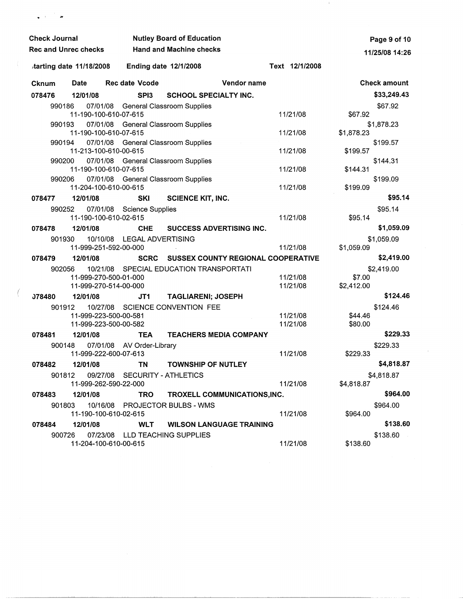| <b>Check Journal</b> |                             |                                         | <b>Nutley Board of Education</b> |                                           | Page 9 of 10             |  |
|----------------------|-----------------------------|-----------------------------------------|----------------------------------|-------------------------------------------|--------------------------|--|
|                      | <b>Rec and Unrec checks</b> |                                         | <b>Hand and Machine checks</b>   |                                           | 11/25/08 14:26           |  |
|                      | tarting date 11/18/2008     | <b>Ending date 12/1/2008</b>            |                                  | Text 12/1/2008                            |                          |  |
| Cknum                | <b>Date</b>                 | Rec date Vcode                          |                                  | Vendor name                               | <b>Check amount</b>      |  |
| 078476               | 12/01/08                    | SPI <sub>3</sub>                        | <b>SCHOOL SPECIALTY INC.</b>     |                                           | \$33,249.43              |  |
| 990186               |                             | 07/01/08 General Classroom Supplies     |                                  |                                           | \$67.92                  |  |
|                      | 11-190-100-610-07-615       |                                         |                                  | 11/21/08                                  | \$67.92                  |  |
| 990193               |                             | 07/01/08 General Classroom Supplies     |                                  |                                           | \$1,878.23               |  |
|                      | 11-190-100-610-07-615       |                                         |                                  | 11/21/08                                  | \$1,878.23               |  |
| 990194               |                             | 07/01/08 General Classroom Supplies     |                                  |                                           | \$199.57                 |  |
|                      | 11-213-100-610-00-615       |                                         |                                  | 11/21/08                                  | \$199.57                 |  |
| 990200               | 11-190-100-610-07-615       | 07/01/08 General Classroom Supplies     |                                  | 11/21/08                                  | \$144.31<br>\$144.31     |  |
| 990206               |                             | 07/01/08 General Classroom Supplies     |                                  |                                           | \$199.09                 |  |
|                      | 11-204-100-610-00-615       |                                         |                                  | 11/21/08                                  | \$199.09                 |  |
| 078477               | 12/01/08                    | SKI                                     | <b>SCIENCE KIT, INC.</b>         |                                           | \$95.14                  |  |
| 990252               |                             | 07/01/08 Science Supplies               |                                  |                                           | \$95.14                  |  |
|                      | 11-190-100-610-02-615       |                                         |                                  | 11/21/08                                  | \$95.14                  |  |
| 078478               | 12/01/08                    | <b>CHE</b>                              | SUCCESS ADVERTISING INC.         |                                           | \$1,059.09               |  |
| 901930               | 10/10/08                    | LEGAL ADVERTISING                       |                                  |                                           | \$1,059.09               |  |
|                      | 11-999-251-592-00-000       |                                         |                                  | 11/21/08                                  | \$1,059.09               |  |
| 078479               | 12/01/08                    | <b>SCRC</b>                             |                                  | <b>SUSSEX COUNTY REGIONAL COOPERATIVE</b> | \$2,419.00               |  |
| 902056               |                             | 10/21/08 SPECIAL EDUCATION TRANSPORTATI |                                  |                                           | \$2,419.00               |  |
|                      | 11-999-270-500-01-000       |                                         |                                  | 11/21/08                                  | \$7.00                   |  |
|                      | 11-999-270-514-00-000       |                                         |                                  | 11/21/08                                  | \$2,412.00               |  |
| <b>J78480</b>        | 12/01/08                    | JT1                                     | <b>TAGLIARENI; JOSEPH</b>        |                                           | \$124.46                 |  |
| 901912               | 10/27/08                    |                                         | <b>SCIENCE CONVENTION FEE</b>    |                                           | \$124.46                 |  |
|                      | 11-999-223-500-00-581       |                                         |                                  | 11/21/08                                  | \$44.46                  |  |
|                      | 11-999-223-500-00-582       |                                         |                                  | 11/21/08                                  | \$80.00<br>\$229.33      |  |
| 078481               | 12/01/08                    | <b>TEA</b>                              |                                  | <b>TEACHERS MEDIA COMPANY</b>             |                          |  |
| 900148               | 11-999-222-600-07-613       | 07/01/08 AV Order-Library               |                                  | 11/21/08                                  | \$229.33<br>\$229.33     |  |
| 078482               | 12/01/08                    | <b>TN</b>                               | <b>TOWNSHIP OF NUTLEY</b>        |                                           | \$4,818.87               |  |
| 901812               |                             | 09/27/08 SECURITY - ATHLETICS           |                                  |                                           |                          |  |
|                      | 11-999-262-590-22-000       |                                         |                                  | 11/21/08                                  | \$4,818.87<br>\$4,818.87 |  |
| 078483               | 12/01/08                    | <b>TRO</b>                              |                                  | TROXELL COMMUNICATIONS, INC.              | \$964.00                 |  |
| 901803               |                             | 10/16/08 PROJECTOR BULBS - WMS          |                                  |                                           | \$964.00                 |  |
|                      |                             | 11-190-100-610-02-615                   |                                  | 11/21/08                                  | \$964.00                 |  |
| 078484               | 12/01/08                    | <b>WLT</b>                              |                                  | <b>WILSON LANGUAGE TRAINING</b>           | \$138.60                 |  |
| 900726               |                             | 07/23/08 LLD TEACHING SUPPLIES          |                                  |                                           | \$138.60                 |  |
|                      | 11-204-100-610-00-615       |                                         |                                  | 11/21/08                                  | \$138.60                 |  |

 $\sim 20$ 

 $\sim 10^{11}$ 

 $($ 

 $\Box$  T  $\rightarrow$